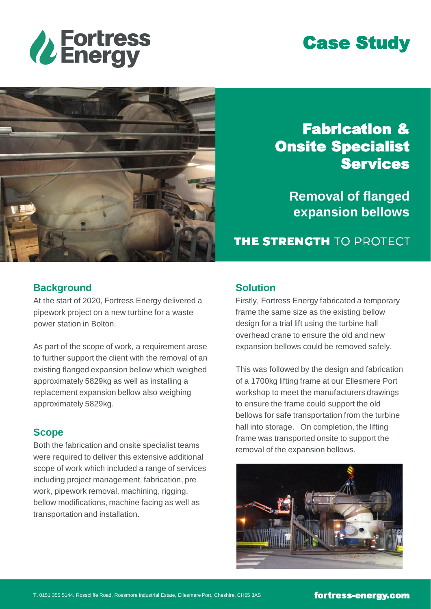

# Case Study



## Fabrication & Onsite Specialist **Services**

**Removal of flanged expansion bellows**

**THE STRENGTH TO PROTECT** 

#### **Background**

At the start of 2020, Fortress Energy delivered a pipework project on a new turbine for a waste power station in Bolton.

As part of the scope of work, a requirement arose to further support the client with the removal of an existing flanged expansion bellow which weighed approximately 5829kg as well as installing a replacement expansion bellow also weighing approximately 5829kg.

#### **Scope**

Both the fabrication and onsite specialist teams were required to deliver this extensive additional scope of work which included a range of services including project management, fabrication, pre work, pipework removal, machining, rigging, bellow modifications, machine facing as well as transportation and installation.

#### **Solution**

Firstly, Fortress Energy fabricated a temporary frame the same size as the existing bellow design for a trial lift using the turbine hall overhead crane to ensure the old and new expansion bellows could be removed safely.

This was followed by the design and fabrication of a 1700kg lifting frame at our Ellesmere Port workshop to meet the manufacturers drawings to ensure the frame could support the old bellows for safe transportation from the turbine hall into storage. On completion, the lifting frame was transported onsite to support the removal of the expansion bellows.